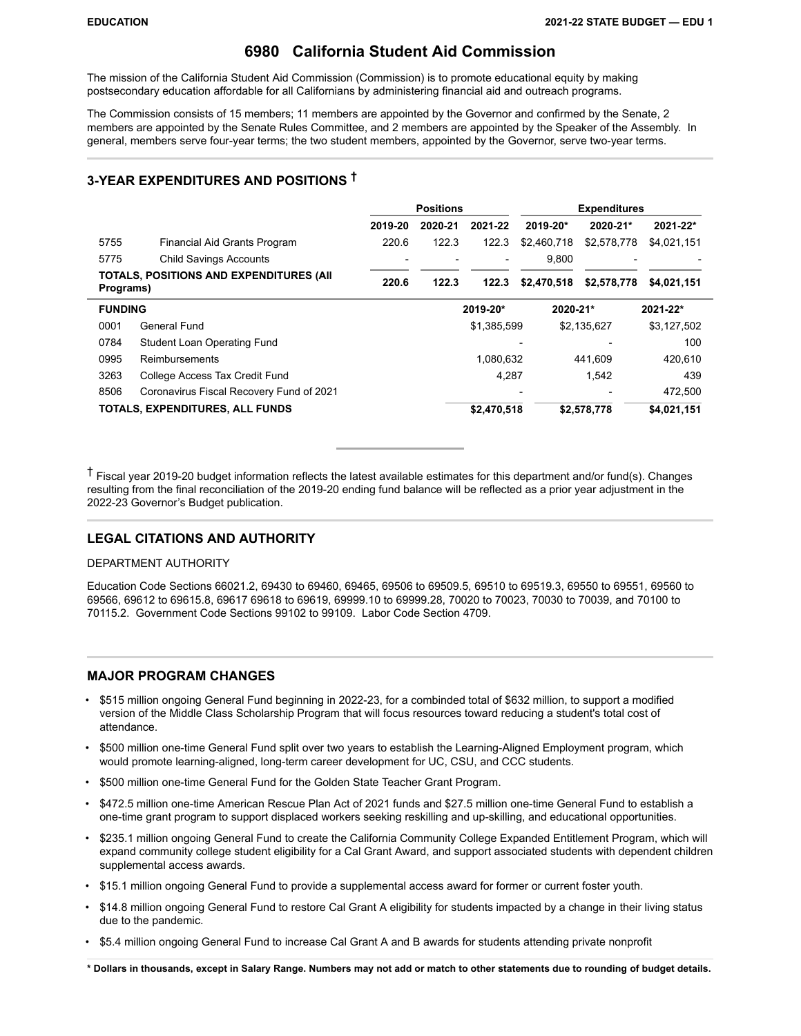### **6980 California Student Aid Commission**

The mission of the California Student Aid Commission (Commission) is to promote educational equity by making postsecondary education affordable for all Californians by administering financial aid and outreach programs.

The Commission consists of 15 members; 11 members are appointed by the Governor and confirmed by the Senate, 2 members are appointed by the Senate Rules Committee, and 2 members are appointed by the Speaker of the Assembly. In general, members serve four-year terms; the two student members, appointed by the Governor, serve two-year terms.

### **3-YEAR EXPENDITURES AND POSITIONS †**

|                |                                                 | <b>Positions</b> |         |             |             | <b>Expenditures</b> |              |  |
|----------------|-------------------------------------------------|------------------|---------|-------------|-------------|---------------------|--------------|--|
|                |                                                 | 2019-20          | 2020-21 | 2021-22     | 2019-20*    | 2020-21*            | $2021 - 22*$ |  |
| 5755           | Financial Aid Grants Program                    | 220.6            | 122.3   | 122.3       | \$2,460,718 | \$2,578,778         | \$4,021,151  |  |
| 5775           | <b>Child Savings Accounts</b>                   |                  |         |             | 9,800       |                     |              |  |
| Programs)      | <b>TOTALS, POSITIONS AND EXPENDITURES (AII)</b> | 220.6            | 122.3   | 122.3       | \$2,470,518 | \$2,578,778         | \$4,021,151  |  |
| <b>FUNDING</b> |                                                 |                  |         | 2019-20*    | 2020-21*    |                     | 2021-22*     |  |
| 0001           | General Fund                                    |                  |         | \$1,385,599 |             | \$2,135,627         | \$3,127,502  |  |
| 0784           | Student Loan Operating Fund                     |                  |         |             |             |                     | 100          |  |
| 0995           | Reimbursements                                  |                  |         | 1.080.632   |             | 441.609             | 420.610      |  |
| 3263           | College Access Tax Credit Fund                  |                  |         | 4,287       |             | 1.542               | 439          |  |
| 8506           | Coronavirus Fiscal Recovery Fund of 2021        |                  |         |             |             |                     | 472.500      |  |
|                | TOTALS, EXPENDITURES, ALL FUNDS                 |                  |         | \$2,470,518 |             | \$2,578,778         | \$4,021,151  |  |

† Fiscal year 2019-20 budget information reflects the latest available estimates for this department and/or fund(s). Changes resulting from the final reconciliation of the 2019-20 ending fund balance will be reflected as a prior year adjustment in the 2022-23 Governor's Budget publication.

### **LEGAL CITATIONS AND AUTHORITY**

### DEPARTMENT AUTHORITY

Education Code Sections 66021.2, 69430 to 69460, 69465, 69506 to 69509.5, 69510 to 69519.3, 69550 to 69551, 69560 to 69566, 69612 to 69615.8, 69617 69618 to 69619, 69999.10 to 69999.28, 70020 to 70023, 70030 to 70039, and 70100 to 70115.2. Government Code Sections 99102 to 99109. Labor Code Section 4709.

### **MAJOR PROGRAM CHANGES**

- \$515 million ongoing General Fund beginning in 2022-23, for a combinded total of \$632 million, to support a modified version of the Middle Class Scholarship Program that will focus resources toward reducing a student's total cost of attendance.
- \$500 million one-time General Fund split over two years to establish the Learning-Aligned Employment program, which would promote learning-aligned, long-term career development for UC, CSU, and CCC students.
- \$500 million one-time General Fund for the Golden State Teacher Grant Program.
- \$472.5 million one-time American Rescue Plan Act of 2021 funds and \$27.5 million one-time General Fund to establish a one-time grant program to support displaced workers seeking reskilling and up-skilling, and educational opportunities.
- \$235.1 million ongoing General Fund to create the California Community College Expanded Entitlement Program, which will expand community college student eligibility for a Cal Grant Award, and support associated students with dependent children supplemental access awards.
- \$15.1 million ongoing General Fund to provide a supplemental access award for former or current foster youth.
- \$14.8 million ongoing General Fund to restore Cal Grant A eligibility for students impacted by a change in their living status due to the pandemic.
- \$5.4 million ongoing General Fund to increase Cal Grant A and B awards for students attending private nonprofit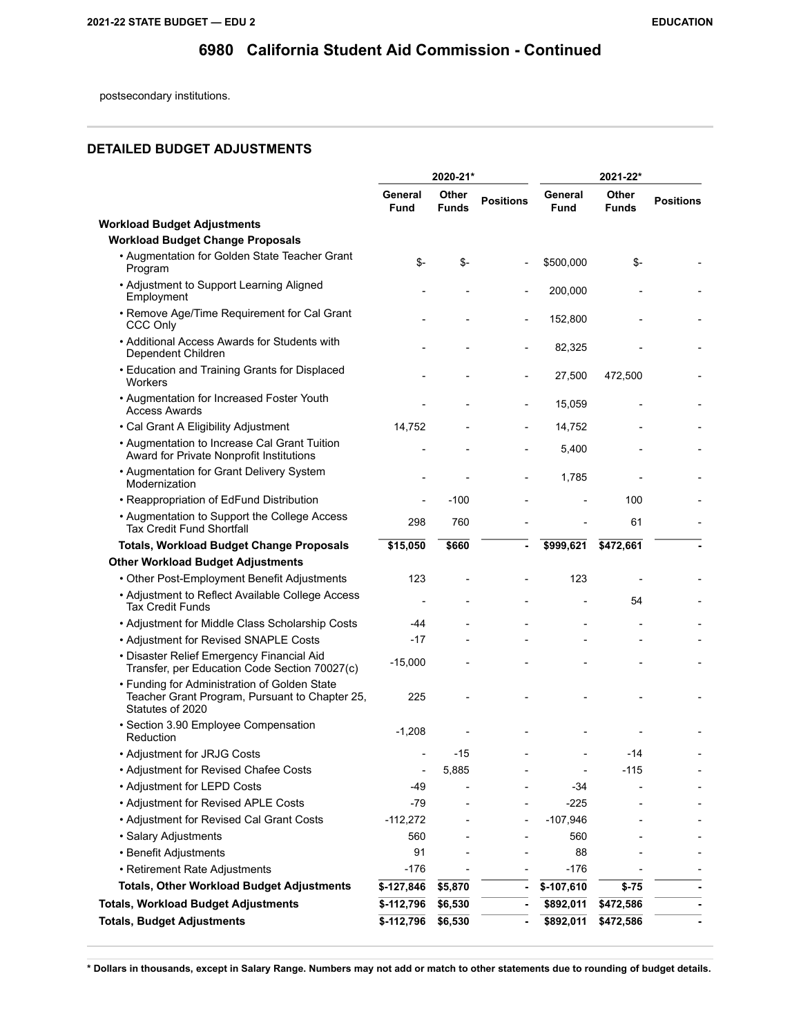postsecondary institutions.

### **DETAILED BUDGET ADJUSTMENTS**

|                                                                                                                    |                          | 2020-21*              |                  |                 | 2021-22*              |                  |
|--------------------------------------------------------------------------------------------------------------------|--------------------------|-----------------------|------------------|-----------------|-----------------------|------------------|
|                                                                                                                    | General<br><b>Fund</b>   | Other<br><b>Funds</b> | <b>Positions</b> | General<br>Fund | Other<br><b>Funds</b> | <b>Positions</b> |
| <b>Workload Budget Adjustments</b>                                                                                 |                          |                       |                  |                 |                       |                  |
| <b>Workload Budget Change Proposals</b>                                                                            |                          |                       |                  |                 |                       |                  |
| • Augmentation for Golden State Teacher Grant<br>Program                                                           | \$-                      | $S-$                  |                  | \$500,000       | \$-                   |                  |
| • Adjustment to Support Learning Aligned<br>Employment                                                             |                          |                       |                  | 200,000         |                       |                  |
| • Remove Age/Time Requirement for Cal Grant<br><b>CCC Only</b>                                                     |                          |                       |                  | 152,800         |                       |                  |
| • Additional Access Awards for Students with<br>Dependent Children                                                 |                          |                       |                  | 82,325          |                       |                  |
| • Education and Training Grants for Displaced<br>Workers                                                           |                          |                       |                  | 27,500          | 472,500               |                  |
| • Augmentation for Increased Foster Youth<br><b>Access Awards</b>                                                  |                          |                       |                  | 15,059          |                       |                  |
| • Cal Grant A Eligibility Adjustment                                                                               | 14,752                   |                       |                  | 14,752          |                       |                  |
| • Augmentation to Increase Cal Grant Tuition<br>Award for Private Nonprofit Institutions                           |                          |                       |                  | 5,400           |                       |                  |
| • Augmentation for Grant Delivery System<br>Modernization                                                          |                          |                       |                  | 1,785           |                       |                  |
| • Reappropriation of EdFund Distribution                                                                           |                          | $-100$                |                  |                 | 100                   |                  |
| • Augmentation to Support the College Access<br><b>Tax Credit Fund Shortfall</b>                                   | 298                      | 760                   |                  |                 | 61                    |                  |
| <b>Totals, Workload Budget Change Proposals</b>                                                                    | \$15,050                 | \$660                 |                  | \$999,621       | \$472,661             | ä,               |
| <b>Other Workload Budget Adjustments</b>                                                                           |                          |                       |                  |                 |                       |                  |
| • Other Post-Employment Benefit Adjustments                                                                        | 123                      |                       |                  | 123             |                       |                  |
| • Adjustment to Reflect Available College Access<br>Tax Credit Funds                                               | $\overline{\phantom{a}}$ |                       |                  |                 | 54                    |                  |
| • Adjustment for Middle Class Scholarship Costs                                                                    | -44                      |                       |                  |                 |                       |                  |
| • Adjustment for Revised SNAPLE Costs                                                                              | $-17$                    |                       |                  |                 |                       |                  |
| • Disaster Relief Emergency Financial Aid<br>Transfer, per Education Code Section 70027(c)                         | $-15,000$                |                       |                  |                 |                       |                  |
| • Funding for Administration of Golden State<br>Teacher Grant Program, Pursuant to Chapter 25,<br>Statutes of 2020 | 225                      |                       |                  |                 |                       |                  |
| · Section 3.90 Employee Compensation<br>Reduction                                                                  | $-1,208$                 |                       |                  |                 |                       |                  |
| • Adjustment for JRJG Costs                                                                                        | $\overline{\phantom{a}}$ | $-15$                 |                  |                 | $-14$                 |                  |
| • Adjustment for Revised Chafee Costs                                                                              |                          | 5,885                 |                  |                 | $-115$                |                  |
| • Adjustment for LEPD Costs                                                                                        | -49                      |                       |                  | $-34$           |                       |                  |
| • Adjustment for Revised APLE Costs                                                                                | $-79$                    |                       |                  | $-225$          |                       |                  |
| • Adjustment for Revised Cal Grant Costs                                                                           | $-112,272$               |                       |                  | $-107,946$      |                       |                  |
| · Salary Adjustments                                                                                               | 560                      |                       |                  | 560             |                       |                  |
| • Benefit Adjustments                                                                                              | 91                       |                       |                  | 88              |                       |                  |
| • Retirement Rate Adjustments                                                                                      | $-176$                   |                       |                  | $-176$          |                       |                  |
| <b>Totals, Other Workload Budget Adjustments</b>                                                                   | $$-127,846$              | \$5,870               |                  | \$-107,610      | $$ -75$               |                  |
| <b>Totals, Workload Budget Adjustments</b>                                                                         | $$-112,796$              | \$6,530               | ۰                | \$892,011       | \$472,586             |                  |
| <b>Totals, Budget Adjustments</b>                                                                                  | $$-112,796$              | \$6,530               | $\blacksquare$   | \$892,011       | \$472,586             |                  |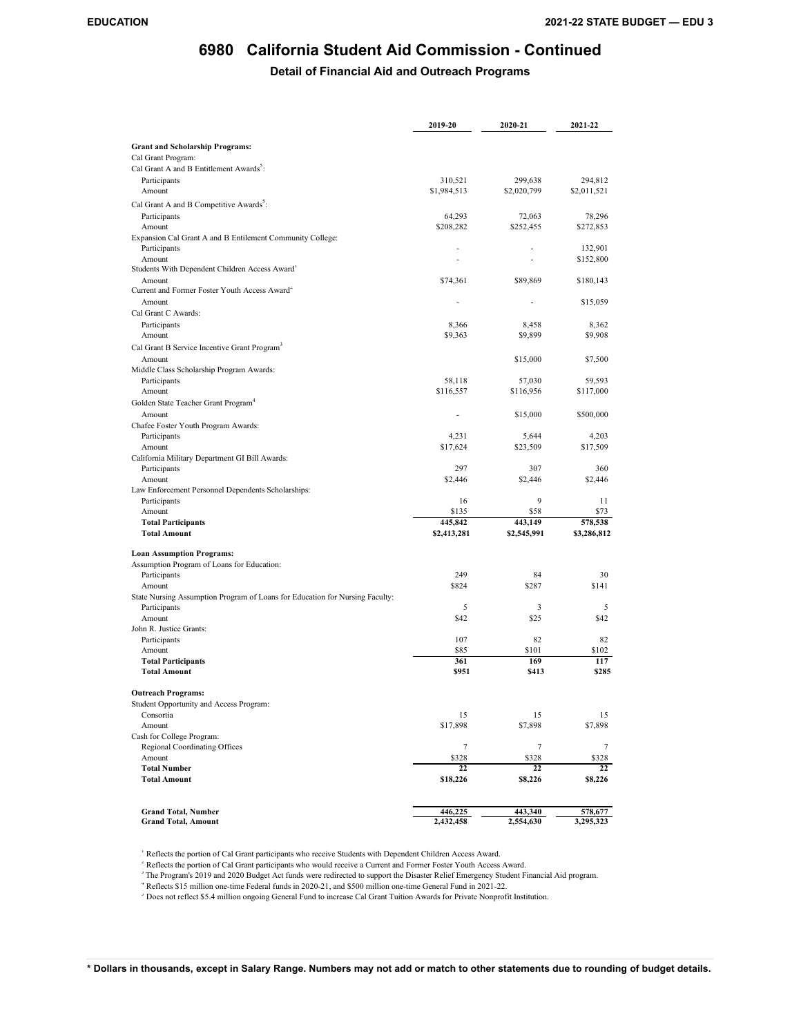### **Detail of Financial Aid and Outreach Programs**

|                                                                              | 2019-20     | 2020-21      | 2021-22      |
|------------------------------------------------------------------------------|-------------|--------------|--------------|
|                                                                              |             |              |              |
| <b>Grant and Scholarship Programs:</b>                                       |             |              |              |
| Cal Grant Program:                                                           |             |              |              |
| Cal Grant A and B Entitlement Awards <sup>2</sup> :                          | 310,521     | 299,638      | 294,812      |
| Participants<br>Amount                                                       | \$1,984,513 | \$2,020,799  | \$2,011,521  |
|                                                                              |             |              |              |
| Cal Grant A and B Competitive Awards <sup>2</sup> :                          |             |              |              |
| Participants                                                                 | 64,293      | 72,063       | 78,296       |
| Amount<br>Expansion Cal Grant A and B Entilement Community College:          | \$208,282   | \$252,455    | \$272,853    |
| Participants                                                                 |             |              | 132,901      |
| Amount                                                                       | Ĭ.          | L,           | \$152,800    |
| Students With Dependent Children Access Award <sup>1</sup>                   |             |              |              |
| Amount                                                                       | \$74,361    | \$89,869     | \$180,143    |
| Current and Former Foster Youth Access Award <sup>2</sup>                    |             |              |              |
| Amount                                                                       | ä,          | ٠            | \$15,059     |
| Cal Grant C Awards:                                                          |             |              |              |
| Participants                                                                 | 8,366       | 8,458        | 8,362        |
| Amount                                                                       | \$9,363     | \$9,899      | \$9,908      |
| Cal Grant B Service Incentive Grant Program <sup>3</sup>                     |             |              |              |
| Amount                                                                       |             | \$15,000     | \$7,500      |
| Middle Class Scholarship Program Awards:                                     |             |              |              |
| Participants                                                                 | 58,118      | 57,030       | 59,593       |
| Amount                                                                       | \$116,557   | \$116,956    | \$117,000    |
| Golden State Teacher Grant Program <sup>4</sup>                              |             |              |              |
| Amount                                                                       | ÷,          | \$15,000     | \$500,000    |
| Chafee Foster Youth Program Awards:                                          |             |              |              |
| Participants                                                                 | 4,231       | 5,644        | 4,203        |
| Amount                                                                       | \$17,624    | \$23,509     | \$17,509     |
| California Military Department GI Bill Awards:                               |             |              |              |
| Participants                                                                 | 297         | 307          | 360          |
| Amount                                                                       | \$2,446     | \$2,446      | \$2,446      |
| Law Enforcement Personnel Dependents Scholarships:                           |             | 9            |              |
| Participants<br>Amount                                                       | 16<br>\$135 | \$58         | 11<br>\$73   |
| <b>Total Participants</b>                                                    | 445,842     | 443,149      | 578,538      |
| <b>Total Amount</b>                                                          | \$2,413,281 | \$2,545,991  | \$3,286,812  |
|                                                                              |             |              |              |
| <b>Loan Assumption Programs:</b>                                             |             |              |              |
| Assumption Program of Loans for Education:                                   |             |              |              |
| Participants                                                                 | 249         | 84           | 30           |
| Amount                                                                       | \$824       | \$287        | \$141        |
| State Nursing Assumption Program of Loans for Education for Nursing Faculty: |             |              |              |
| Participants                                                                 | 5           | 3            | 5            |
| Amount                                                                       | \$42        | \$25         | \$42         |
| John R. Justice Grants:                                                      |             |              |              |
| Participants                                                                 | 107         | 82           | 82           |
| Amount<br><b>Total Participants</b>                                          | \$85<br>361 | \$101<br>169 | \$102<br>117 |
| <b>Total Amount</b>                                                          | \$951       | \$413        | \$285        |
|                                                                              |             |              |              |
| <b>Outreach Programs:</b>                                                    |             |              |              |
| Student Opportunity and Access Program:                                      |             |              |              |
| Consortia                                                                    | 15          | 15           | 15           |
| Amount                                                                       | \$17,898    | \$7,898      | \$7,898      |
| Cash for College Program:                                                    |             |              |              |
| Regional Coordinating Offices                                                | $\tau$      | 7            | 7            |
| Amount                                                                       | \$328       | \$328        | \$328        |
| <b>Total Number</b>                                                          | 22          | 22           | 22           |
| <b>Total Amount</b>                                                          | \$18,226    | \$8,226      | \$8,226      |
|                                                                              |             |              |              |
| <b>Grand Total, Number</b>                                                   | 446,225     | 443,340      | 578,677      |
| <b>Grand Total, Amount</b>                                                   | 2,432,458   | 2,554,630    | 3,295,323    |

<sup>1</sup> Reflects the portion of Cal Grant participants who receive Students with Dependent Children Access Award.

2 Reflects the portion of Cal Grant participants who would receive a Current and Former Foster Youth Access Award.

<sup>3</sup> The Program's 2019 and 2020 Budget Act funds were redirected to support the Disaster Relief Emergency Student Financial Aid program.

4 Reflects \$15 million one-time Federal funds in 2020-21, and \$500 million one-time General Fund in 2021-22.

<sup>5</sup> Does not reflect \$5.4 million ongoing General Fund to increase Cal Grant Tuition Awards for Private Nonprofit Institution.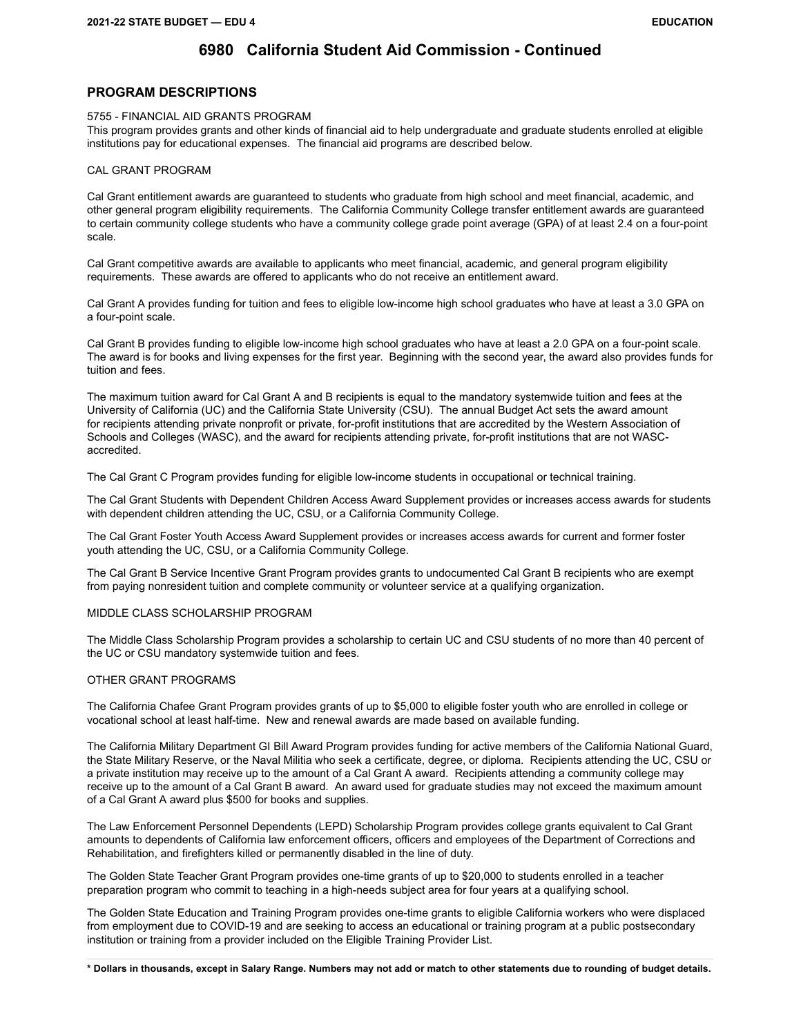### **PROGRAM DESCRIPTIONS**

5755 - FINANCIAL AID GRANTS PROGRAM

This program provides grants and other kinds of financial aid to help undergraduate and graduate students enrolled at eligible institutions pay for educational expenses. The financial aid programs are described below.

#### CAL GRANT PROGRAM

Cal Grant entitlement awards are guaranteed to students who graduate from high school and meet financial, academic, and other general program eligibility requirements. The California Community College transfer entitlement awards are guaranteed to certain community college students who have a community college grade point average (GPA) of at least 2.4 on a four-point scale.

Cal Grant competitive awards are available to applicants who meet financial, academic, and general program eligibility requirements. These awards are offered to applicants who do not receive an entitlement award.

Cal Grant A provides funding for tuition and fees to eligible low-income high school graduates who have at least a 3.0 GPA on a four-point scale.

Cal Grant B provides funding to eligible low-income high school graduates who have at least a 2.0 GPA on a four-point scale. The award is for books and living expenses for the first year. Beginning with the second year, the award also provides funds for tuition and fees.

The maximum tuition award for Cal Grant A and B recipients is equal to the mandatory systemwide tuition and fees at the University of California (UC) and the California State University (CSU). The annual Budget Act sets the award amount for recipients attending private nonprofit or private, for-profit institutions that are accredited by the Western Association of Schools and Colleges (WASC), and the award for recipients attending private, for-profit institutions that are not WASCaccredited.

The Cal Grant C Program provides funding for eligible low-income students in occupational or technical training.

The Cal Grant Students with Dependent Children Access Award Supplement provides or increases access awards for students with dependent children attending the UC, CSU, or a California Community College.

The Cal Grant Foster Youth Access Award Supplement provides or increases access awards for current and former foster youth attending the UC, CSU, or a California Community College.

The Cal Grant B Service Incentive Grant Program provides grants to undocumented Cal Grant B recipients who are exempt from paying nonresident tuition and complete community or volunteer service at a qualifying organization.

### MIDDLE CLASS SCHOLARSHIP PROGRAM

The Middle Class Scholarship Program provides a scholarship to certain UC and CSU students of no more than 40 percent of the UC or CSU mandatory systemwide tuition and fees.

#### OTHER GRANT PROGRAMS

The California Chafee Grant Program provides grants of up to \$5,000 to eligible foster youth who are enrolled in college or vocational school at least half-time. New and renewal awards are made based on available funding.

The California Military Department GI Bill Award Program provides funding for active members of the California National Guard, the State Military Reserve, or the Naval Militia who seek a certificate, degree, or diploma. Recipients attending the UC, CSU or a private institution may receive up to the amount of a Cal Grant A award. Recipients attending a community college may receive up to the amount of a Cal Grant B award. An award used for graduate studies may not exceed the maximum amount of a Cal Grant A award plus \$500 for books and supplies.

The Law Enforcement Personnel Dependents (LEPD) Scholarship Program provides college grants equivalent to Cal Grant amounts to dependents of California law enforcement officers, officers and employees of the Department of Corrections and Rehabilitation, and firefighters killed or permanently disabled in the line of duty.

The Golden State Teacher Grant Program provides one-time grants of up to \$20,000 to students enrolled in a teacher preparation program who commit to teaching in a high-needs subject area for four years at a qualifying school.

The Golden State Education and Training Program provides one-time grants to eligible California workers who were displaced from employment due to COVID-19 and are seeking to access an educational or training program at a public postsecondary institution or training from a provider included on the Eligible Training Provider List.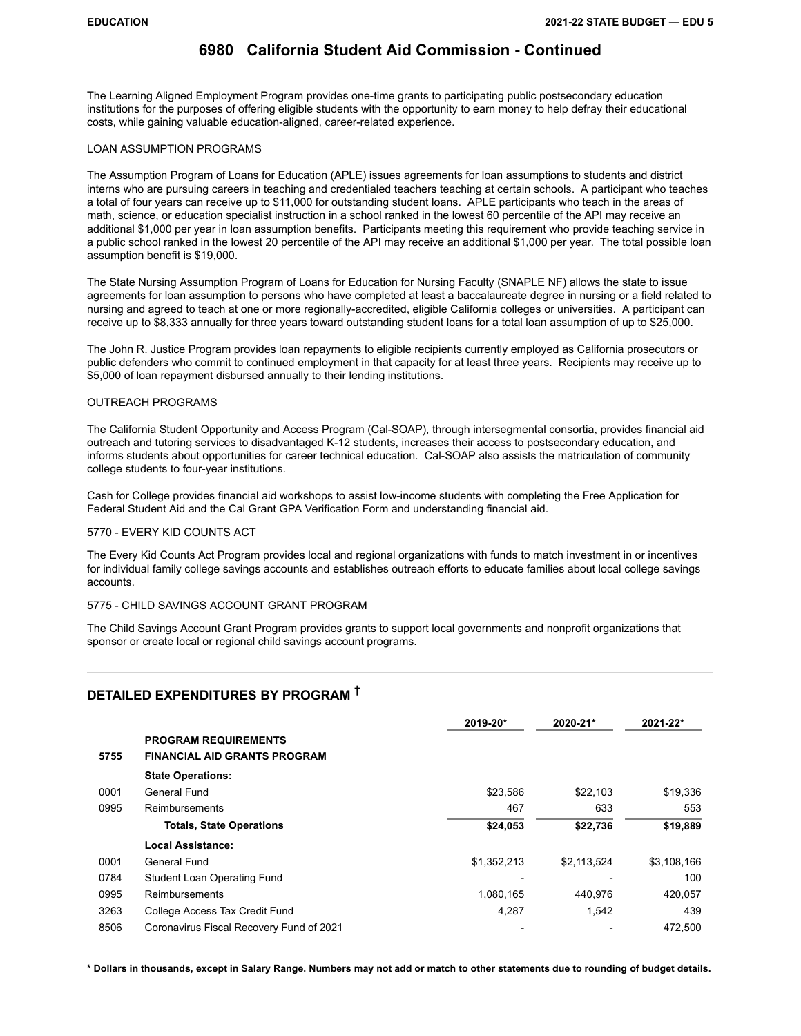The Learning Aligned Employment Program provides one-time grants to participating public postsecondary education institutions for the purposes of offering eligible students with the opportunity to earn money to help defray their educational costs, while gaining valuable education-aligned, career-related experience.

#### LOAN ASSUMPTION PROGRAMS

The Assumption Program of Loans for Education (APLE) issues agreements for loan assumptions to students and district interns who are pursuing careers in teaching and credentialed teachers teaching at certain schools. A participant who teaches a total of four years can receive up to \$11,000 for outstanding student loans. APLE participants who teach in the areas of math, science, or education specialist instruction in a school ranked in the lowest 60 percentile of the API may receive an additional \$1,000 per year in loan assumption benefits. Participants meeting this requirement who provide teaching service in a public school ranked in the lowest 20 percentile of the API may receive an additional \$1,000 per year. The total possible loan assumption benefit is \$19,000.

The State Nursing Assumption Program of Loans for Education for Nursing Faculty (SNAPLE NF) allows the state to issue agreements for loan assumption to persons who have completed at least a baccalaureate degree in nursing or a field related to nursing and agreed to teach at one or more regionally-accredited, eligible California colleges or universities. A participant can receive up to \$8,333 annually for three years toward outstanding student loans for a total loan assumption of up to \$25,000.

The John R. Justice Program provides loan repayments to eligible recipients currently employed as California prosecutors or public defenders who commit to continued employment in that capacity for at least three years. Recipients may receive up to \$5,000 of loan repayment disbursed annually to their lending institutions.

#### OUTREACH PROGRAMS

The California Student Opportunity and Access Program (Cal-SOAP), through intersegmental consortia, provides financial aid outreach and tutoring services to disadvantaged K-12 students, increases their access to postsecondary education, and informs students about opportunities for career technical education. Cal-SOAP also assists the matriculation of community college students to four-year institutions.

Cash for College provides financial aid workshops to assist low-income students with completing the Free Application for Federal Student Aid and the Cal Grant GPA Verification Form and understanding financial aid.

### 5770 - EVERY KID COUNTS ACT

The Every Kid Counts Act Program provides local and regional organizations with funds to match investment in or incentives for individual family college savings accounts and establishes outreach efforts to educate families about local college savings accounts.

#### 5775 - CHILD SAVINGS ACCOUNT GRANT PROGRAM

The Child Savings Account Grant Program provides grants to support local governments and nonprofit organizations that sponsor or create local or regional child savings account programs.

### **DETAILED EXPENDITURES BY PROGRAM †**

|      |                                          | 2019-20*    | 2020-21*    | 2021-22*    |
|------|------------------------------------------|-------------|-------------|-------------|
|      | <b>PROGRAM REQUIREMENTS</b>              |             |             |             |
| 5755 | <b>FINANCIAL AID GRANTS PROGRAM</b>      |             |             |             |
|      | <b>State Operations:</b>                 |             |             |             |
| 0001 | General Fund                             | \$23,586    | \$22,103    | \$19,336    |
| 0995 | Reimbursements                           | 467         | 633         | 553         |
|      | <b>Totals, State Operations</b>          | \$24,053    | \$22,736    | \$19,889    |
|      | Local Assistance:                        |             |             |             |
| 0001 | General Fund                             | \$1,352,213 | \$2,113,524 | \$3,108,166 |
| 0784 | Student Loan Operating Fund              |             |             | 100         |
| 0995 | Reimbursements                           | 1,080,165   | 440.976     | 420,057     |
| 3263 | College Access Tax Credit Fund           | 4,287       | 1,542       | 439         |
| 8506 | Coronavirus Fiscal Recovery Fund of 2021 |             |             | 472,500     |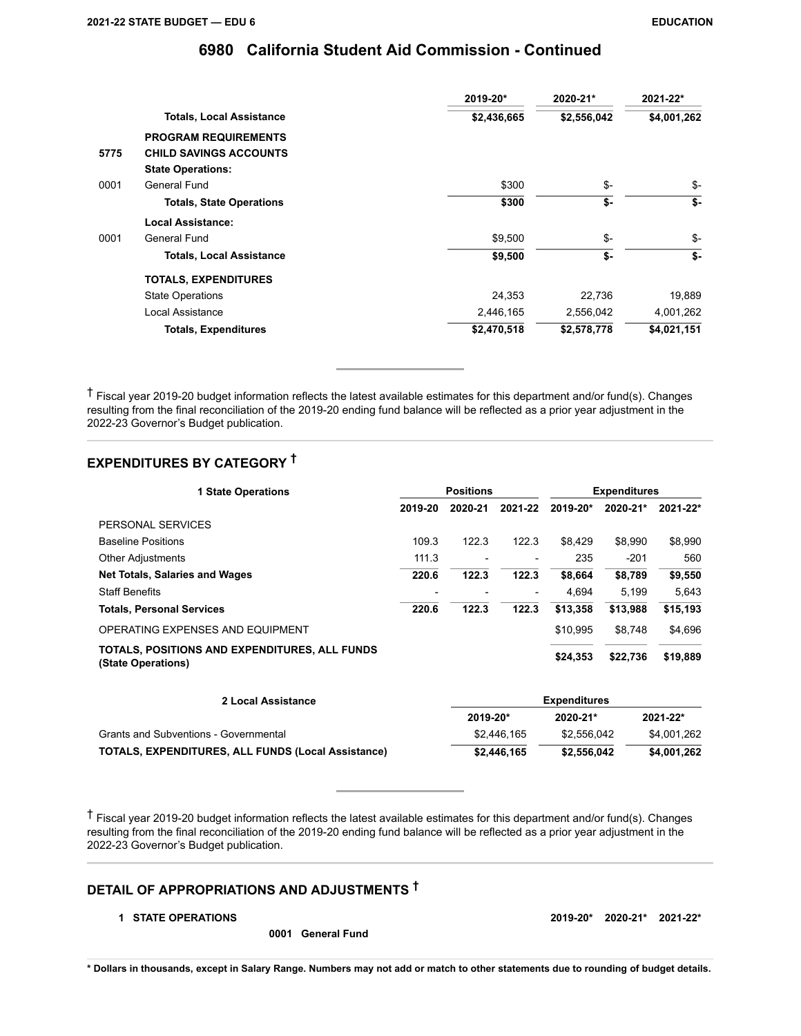|      |                                 | 2019-20*    | 2020-21*    | 2021-22*    |
|------|---------------------------------|-------------|-------------|-------------|
|      | <b>Totals, Local Assistance</b> | \$2,436,665 | \$2,556,042 | \$4,001,262 |
|      | <b>PROGRAM REQUIREMENTS</b>     |             |             |             |
| 5775 | <b>CHILD SAVINGS ACCOUNTS</b>   |             |             |             |
|      | <b>State Operations:</b>        |             |             |             |
| 0001 | General Fund                    | \$300       | \$-         | \$-         |
|      | <b>Totals, State Operations</b> | \$300       | \$-         | \$-         |
|      | Local Assistance:               |             |             |             |
| 0001 | General Fund                    | \$9,500     | \$-         | \$-         |
|      | <b>Totals, Local Assistance</b> | \$9,500     | \$-         | \$-         |
|      | <b>TOTALS, EXPENDITURES</b>     |             |             |             |
|      | <b>State Operations</b>         | 24,353      | 22,736      | 19,889      |
|      | Local Assistance                | 2,446,165   | 2,556,042   | 4,001,262   |
|      | <b>Totals, Expenditures</b>     | \$2,470,518 | \$2,578,778 | \$4,021,151 |
|      |                                 |             |             |             |

† Fiscal year 2019-20 budget information reflects the latest available estimates for this department and/or fund(s). Changes resulting from the final reconciliation of the 2019-20 ending fund balance will be reflected as a prior year adjustment in the 2022-23 Governor's Budget publication.

# **EXPENDITURES BY CATEGORY †**

| <b>1 State Operations</b>                                           | <b>Positions</b> |         |                          | <b>Expenditures</b> |          |          |
|---------------------------------------------------------------------|------------------|---------|--------------------------|---------------------|----------|----------|
|                                                                     | 2019-20          | 2020-21 | 2021-22                  | 2019-20*            | 2020-21* | 2021-22* |
| PERSONAL SERVICES                                                   |                  |         |                          |                     |          |          |
| <b>Baseline Positions</b>                                           | 109.3            | 122.3   | 122.3                    | \$8.429             | \$8,990  | \$8,990  |
| <b>Other Adjustments</b>                                            | 111.3            |         | $\overline{\phantom{a}}$ | 235                 | $-201$   | 560      |
| <b>Net Totals, Salaries and Wages</b>                               | 220.6            | 122.3   | 122.3                    | \$8.664             | \$8,789  | \$9,550  |
| <b>Staff Benefits</b>                                               |                  |         | $\overline{\phantom{0}}$ | 4,694               | 5.199    | 5.643    |
| <b>Totals, Personal Services</b>                                    | 220.6            | 122.3   | 122.3                    | \$13,358            | \$13,988 | \$15,193 |
| OPERATING EXPENSES AND EQUIPMENT                                    |                  |         |                          | \$10,995            | \$8,748  | \$4,696  |
| TOTALS, POSITIONS AND EXPENDITURES, ALL FUNDS<br>(State Operations) |                  |         |                          | \$24,353            | \$22,736 | \$19,889 |
| 2 Local Assistance                                                  |                  |         |                          | <b>Expenditures</b> |          |          |

|                                                           |             | .           |              |  |  |  |
|-----------------------------------------------------------|-------------|-------------|--------------|--|--|--|
|                                                           | 2019-20*    | 2020-21*    | $2021 - 22*$ |  |  |  |
| Grants and Subventions - Governmental                     | \$2.446.165 | \$2.556.042 | \$4,001,262  |  |  |  |
| <b>TOTALS, EXPENDITURES, ALL FUNDS (Local Assistance)</b> | \$2,446.165 | \$2,556,042 | \$4,001,262  |  |  |  |

† Fiscal year 2019-20 budget information reflects the latest available estimates for this department and/or fund(s). Changes resulting from the final reconciliation of the 2019-20 ending fund balance will be reflected as a prior year adjustment in the 2022-23 Governor's Budget publication.

# **DETAIL OF APPROPRIATIONS AND ADJUSTMENTS †**

#### **1 STATE OPERATIONS 2019-20\* 2020-21\* 2021-22\***

**0001 General Fund**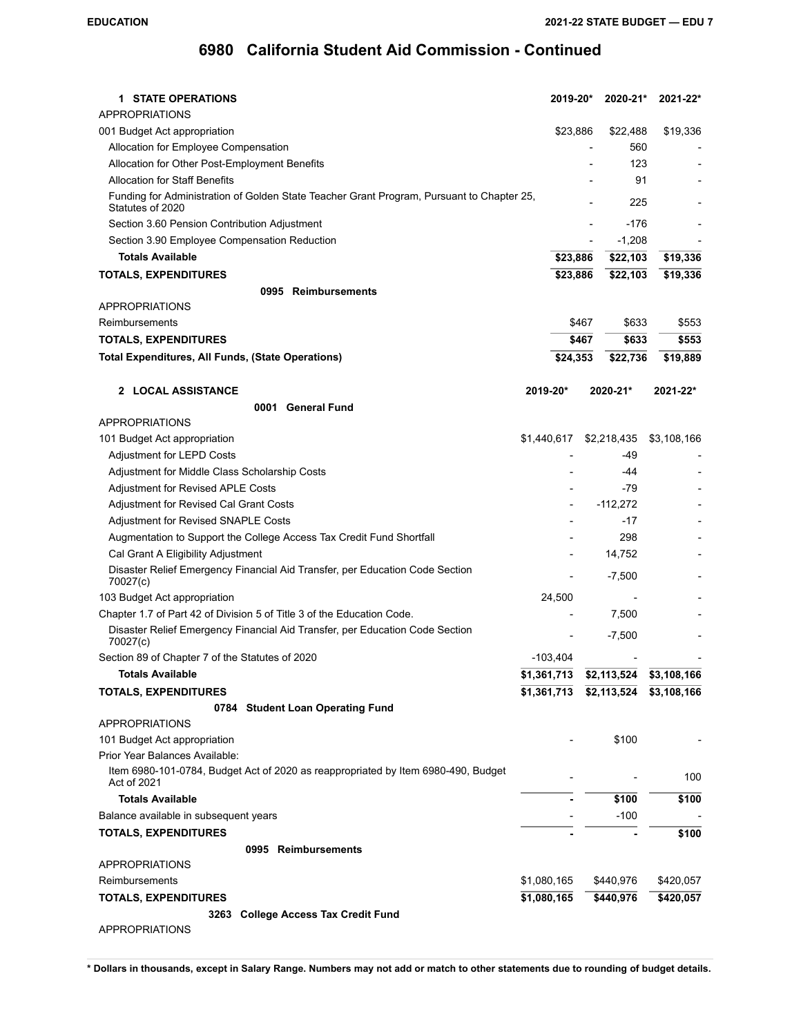| 1 STATE OPERATIONS                                                                                            | 2019-20*       | 2020-21*                            | 2021-22*    |
|---------------------------------------------------------------------------------------------------------------|----------------|-------------------------------------|-------------|
| <b>APPROPRIATIONS</b>                                                                                         |                |                                     |             |
| 001 Budget Act appropriation                                                                                  | \$23,886       | \$22,488                            | \$19,336    |
| Allocation for Employee Compensation                                                                          |                | 560                                 |             |
| Allocation for Other Post-Employment Benefits                                                                 |                | 123                                 |             |
| <b>Allocation for Staff Benefits</b>                                                                          |                | 91                                  |             |
| Funding for Administration of Golden State Teacher Grant Program, Pursuant to Chapter 25,<br>Statutes of 2020 |                | 225                                 |             |
| Section 3.60 Pension Contribution Adjustment                                                                  |                | $-176$                              |             |
| Section 3.90 Employee Compensation Reduction                                                                  |                | $-1,208$                            |             |
| <b>Totals Available</b>                                                                                       | \$23,886       | \$22,103                            | \$19,336    |
| <b>TOTALS, EXPENDITURES</b>                                                                                   | \$23,886       | \$22,103                            | \$19,336    |
| 0995 Reimbursements                                                                                           |                |                                     |             |
| <b>APPROPRIATIONS</b>                                                                                         |                |                                     |             |
| Reimbursements                                                                                                |                | \$467<br>\$633                      | \$553       |
| <b>TOTALS, EXPENDITURES</b>                                                                                   |                | \$633<br>\$467                      | \$553       |
| <b>Total Expenditures, All Funds, (State Operations)</b>                                                      | \$24,353       | \$22,736                            | \$19,889    |
|                                                                                                               |                |                                     |             |
| 2 LOCAL ASSISTANCE                                                                                            | 2019-20*       | 2020-21*                            | 2021-22*    |
| 0001 General Fund                                                                                             |                |                                     |             |
| <b>APPROPRIATIONS</b>                                                                                         |                |                                     |             |
| 101 Budget Act appropriation                                                                                  | \$1,440,617    | \$2,218,435                         | \$3,108,166 |
| Adjustment for LEPD Costs                                                                                     |                | -49                                 |             |
| Adjustment for Middle Class Scholarship Costs                                                                 |                | -44                                 |             |
| Adjustment for Revised APLE Costs                                                                             |                | $-79$                               |             |
| Adjustment for Revised Cal Grant Costs                                                                        |                | $-112,272$                          |             |
| Adjustment for Revised SNAPLE Costs                                                                           |                | $-17$                               |             |
| Augmentation to Support the College Access Tax Credit Fund Shortfall                                          |                | 298                                 |             |
| Cal Grant A Eligibility Adjustment                                                                            |                | 14,752                              |             |
| Disaster Relief Emergency Financial Aid Transfer, per Education Code Section<br>70027(c)                      | $\overline{a}$ | $-7,500$                            |             |
| 103 Budget Act appropriation                                                                                  | 24,500         |                                     |             |
| Chapter 1.7 of Part 42 of Division 5 of Title 3 of the Education Code.                                        |                | 7,500                               |             |
| Disaster Relief Emergency Financial Aid Transfer, per Education Code Section<br>70027(c)                      |                | $-7,500$                            |             |
| Section 89 of Chapter 7 of the Statutes of 2020                                                               | $-103,404$     |                                     |             |
| <b>Totals Available</b>                                                                                       | \$1,361,713    | \$2,113,524                         | \$3,108,166 |
| <b>TOTALS, EXPENDITURES</b>                                                                                   |                | \$1,361,713 \$2,113,524 \$3,108,166 |             |
| 0784 Student Loan Operating Fund                                                                              |                |                                     |             |
| <b>APPROPRIATIONS</b>                                                                                         |                |                                     |             |
| 101 Budget Act appropriation                                                                                  |                | \$100                               |             |
| Prior Year Balances Available:                                                                                |                |                                     |             |
| Item 6980-101-0784, Budget Act of 2020 as reappropriated by Item 6980-490, Budget<br>Act of 2021              |                |                                     | 100         |
| <b>Totals Available</b>                                                                                       |                | \$100                               | \$100       |
| Balance available in subsequent years                                                                         |                | $-100$                              |             |
| <b>TOTALS, EXPENDITURES</b>                                                                                   |                |                                     | \$100       |
| 0995 Reimbursements                                                                                           |                |                                     |             |
| <b>APPROPRIATIONS</b>                                                                                         |                |                                     |             |
| Reimbursements                                                                                                | \$1,080,165    | \$440,976                           | \$420,057   |
| <b>TOTALS, EXPENDITURES</b>                                                                                   | \$1,080,165    | \$440,976                           | \$420,057   |
| 3263 College Access Tax Credit Fund                                                                           |                |                                     |             |
| <b>APPROPRIATIONS</b>                                                                                         |                |                                     |             |